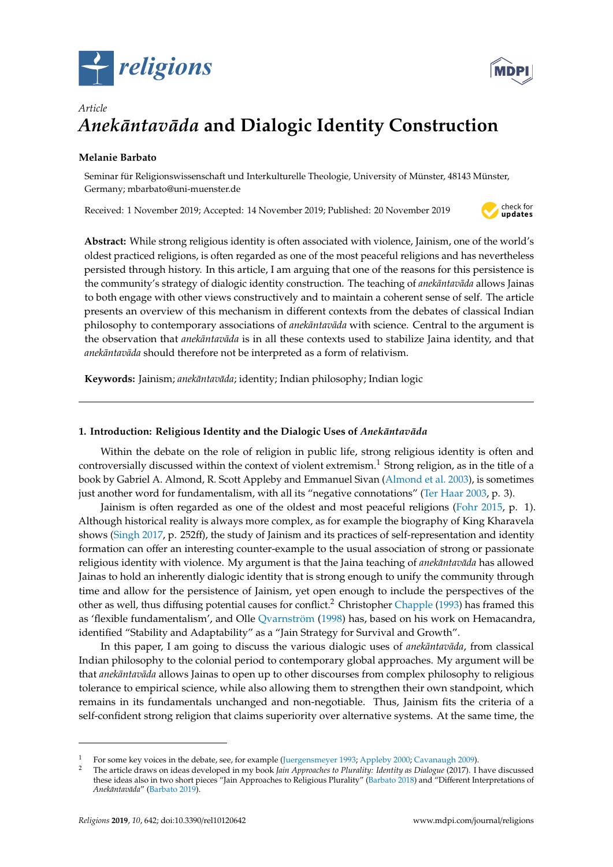



# *Article Anekantav ¯ ada ¯* **and Dialogic Identity Construction**

# **Melanie Barbato**

Seminar für Religionswissenschaft und Interkulturelle Theologie, University of Münster, 48143 Münster, Germany; mbarbato@uni-muenster.de

Received: 1 November 2019; Accepted: 14 November 2019; Published: 20 November 2019



**Abstract:** While strong religious identity is often associated with violence, Jainism, one of the world's oldest practiced religions, is often regarded as one of the most peaceful religions and has nevertheless persisted through history. In this article, I am arguing that one of the reasons for this persistence is the community's strategy of dialogic identity construction. The teaching of *anekantavada* allows Jainas to both engage with other views constructively and to maintain a coherent sense of self. The article presents an overview of this mechanism in different contexts from the debates of classical Indian philosophy to contemporary associations of *anekantavada* with science. Central to the argument is the observation that *anekāntavāda* is in all these contexts used to stabilize Jaina identity, and that *anekāntavāda* should therefore not be interpreted as a form of relativism.

Keywords: Jainism; *anekāntavāda*; identity; Indian philosophy; Indian logic

# 1. Introduction: Religious Identity and the Dialogic Uses of *Anekāntavāda*

Within the debate on the role of religion in public life, strong religious identity is often and controversially discussed within the context of violent extremism.<sup>1</sup> Strong religion, as in the title of a book by Gabriel A. Almond, R. Scott Appleby and Emmanuel Sivan [\(Almond et al.](#page-11-0) [2003\)](#page-11-0), is sometimes just another word for fundamentalism, with all its "negative connotations" [\(Ter Haar](#page-12-0) [2003,](#page-12-0) p. 3).

Jainism is often regarded as one of the oldest and most peaceful religions [\(Fohr](#page-11-1) [2015,](#page-11-1) p. 1). Although historical reality is always more complex, as for example the biography of King Kharavela shows [\(Singh](#page-12-1) [2017,](#page-12-1) p. 252ff), the study of Jainism and its practices of self-representation and identity formation can offer an interesting counter-example to the usual association of strong or passionate religious identity with violence. My argument is that the Jaina teaching of *anekantavada* has allowed Jainas to hold an inherently dialogic identity that is strong enough to unify the community through time and allow for the persistence of Jainism, yet open enough to include the perspectives of the other as well, thus diffusing potential causes for conflict.<sup>2</sup> Christopher [Chapple](#page-11-2) [\(1993\)](#page-11-2) has framed this as 'flexible fundamentalism', and Olle [Qvarnström](#page-12-2) [\(1998\)](#page-12-2) has, based on his work on Hemacandra, identified "Stability and Adaptability" as a "Jain Strategy for Survival and Growth".

In this paper, I am going to discuss the various dialogic uses of *anekantavada*, from classical Indian philosophy to the colonial period to contemporary global approaches. My argument will be that *anekāntavāda* allows Jainas to open up to other discourses from complex philosophy to religious tolerance to empirical science, while also allowing them to strengthen their own standpoint, which remains in its fundamentals unchanged and non-negotiable. Thus, Jainism fits the criteria of a self-confident strong religion that claims superiority over alternative systems. At the same time, the

<sup>&</sup>lt;sup>1</sup> For some key voices in the debate, see, for example [\(Juergensmeyer](#page-12-3) [1993;](#page-12-3) [Appleby](#page-11-3) [2000;](#page-11-3) [Cavanaugh](#page-11-4) [2009\)](#page-11-4).

<sup>2</sup> The article draws on ideas developed in my book *Jain Approaches to Plurality: Identity as Dialogue* (2017). I have discussed these ideas also in two short pieces "Jain Approaches to Religious Plurality" [\(Barbato](#page-11-5) [2018\)](#page-11-5) and "Different Interpretations of *Anekantav ¯ ada ¯* " [\(Barbato](#page-11-6) [2019\)](#page-11-6).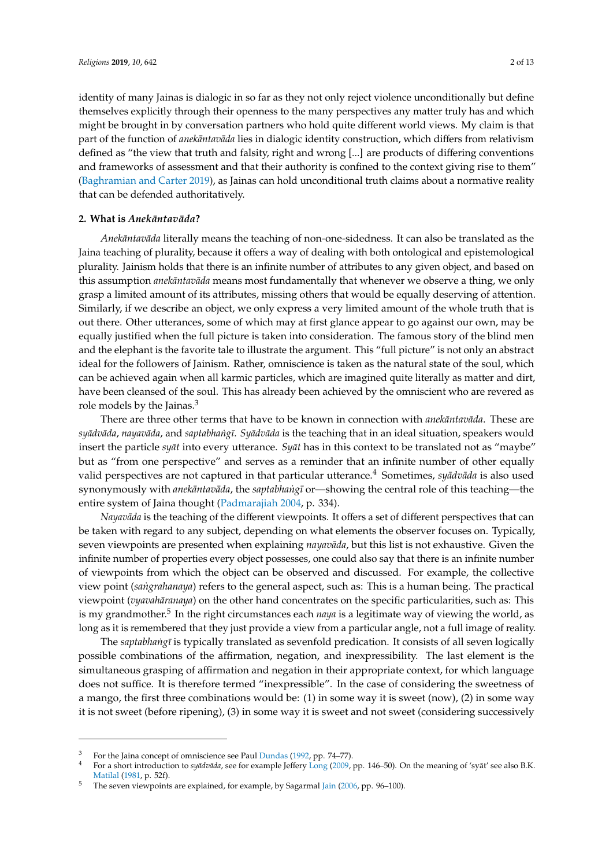identity of many Jainas is dialogic in so far as they not only reject violence unconditionally but define themselves explicitly through their openness to the many perspectives any matter truly has and which might be brought in by conversation partners who hold quite different world views. My claim is that part of the function of *anekāntavāda* lies in dialogic identity construction, which differs from relativism defined as "the view that truth and falsity, right and wrong [...] are products of differing conventions and frameworks of assessment and that their authority is confined to the context giving rise to them" [\(Baghramian and Carter](#page-11-7) [2019\)](#page-11-7), as Jainas can hold unconditional truth claims about a normative reality that can be defended authoritatively.

# $2.$  What is *Anekāntavāda*?

*Anekāntavāda* literally means the teaching of non-one-sidedness. It can also be translated as the Jaina teaching of plurality, because it offers a way of dealing with both ontological and epistemological plurality. Jainism holds that there is an infinite number of attributes to any given object, and based on this assumption *anekāntavāda* means most fundamentally that whenever we observe a thing, we only grasp a limited amount of its attributes, missing others that would be equally deserving of attention. Similarly, if we describe an object, we only express a very limited amount of the whole truth that is out there. Other utterances, some of which may at first glance appear to go against our own, may be equally justified when the full picture is taken into consideration. The famous story of the blind men and the elephant is the favorite tale to illustrate the argument. This "full picture" is not only an abstract ideal for the followers of Jainism. Rather, omniscience is taken as the natural state of the soul, which can be achieved again when all karmic particles, which are imagined quite literally as matter and dirt, have been cleansed of the soul. This has already been achieved by the omniscient who are revered as role models by the Jainas.<sup>3</sup>

There are three other terms that have to be known in connection with *anekantavada*. These are *syadv ¯ ada ¯* , *nayavada ¯* , and *saptabhang˙ ¯ı*. *Syadv ¯ ada ¯* is the teaching that in an ideal situation, speakers would insert the particle *syat* into every utterance. *Syat* has in this context to be translated not as "maybe" but as "from one perspective" and serves as a reminder that an infinite number of other equally valid perspectives are not captured in that particular utterance.<sup>4</sup> Sometimes, *syadvada* is also used synonymously with *anekāntavāda*, the *saptabhangī* or—showing the central role of this teaching—the entire system of Jaina thought [\(Padmarajiah](#page-12-4) [2004,](#page-12-4) p. 334).

*Nayavāda* is the teaching of the different viewpoints. It offers a set of different perspectives that can be taken with regard to any subject, depending on what elements the observer focuses on. Typically, seven viewpoints are presented when explaining *nayavāda*, but this list is not exhaustive. Given the infinite number of properties every object possesses, one could also say that there is an infinite number of viewpoints from which the object can be observed and discussed. For example, the collective view point (*sangrahanaya ˙* ) refers to the general aspect, such as: This is a human being. The practical viewpoint (*vyavahāranaya*) on the other hand concentrates on the specific particularities, such as: This is my grandmother.<sup>5</sup> In the right circumstances each *naya* is a legitimate way of viewing the world, as long as it is remembered that they just provide a view from a particular angle, not a full image of reality.

The *saptabhangī* is typically translated as sevenfold predication. It consists of all seven logically possible combinations of the affirmation, negation, and inexpressibility. The last element is the simultaneous grasping of affirmation and negation in their appropriate context, for which language does not suffice. It is therefore termed "inexpressible". In the case of considering the sweetness of a mango, the first three combinations would be: (1) in some way it is sweet (now), (2) in some way it is not sweet (before ripening), (3) in some way it is sweet and not sweet (considering successively

<sup>&</sup>lt;sup>3</sup> For the Jaina concept of omniscience see Paul [Dundas](#page-11-8) [\(1992,](#page-11-8) pp. 74–77).

For a short introduction to *syadvada*, see for example Jeffery [Long](#page-12-5) [\(2009,](#page-12-5) pp. 146–50). On the meaning of 'syat' see also B.K. [Matilal](#page-12-6) [\(1981,](#page-12-6) p. 52f).

The seven viewpoints are explained, for example, by Sagarmal [Jain](#page-11-9) [\(2006,](#page-11-9) pp. 96-100).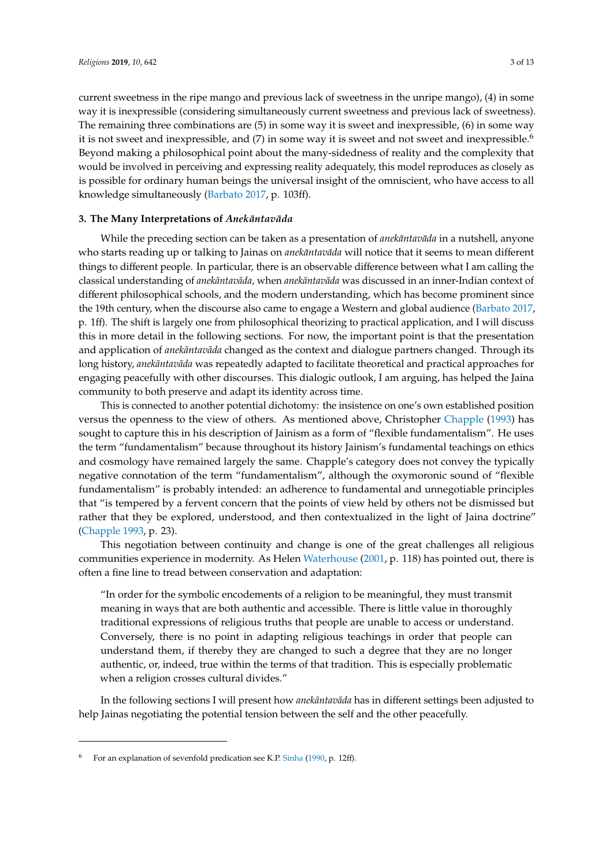current sweetness in the ripe mango and previous lack of sweetness in the unripe mango), (4) in some way it is inexpressible (considering simultaneously current sweetness and previous lack of sweetness). The remaining three combinations are (5) in some way it is sweet and inexpressible, (6) in some way it is not sweet and inexpressible, and  $(7)$  in some way it is sweet and not sweet and inexpressible.<sup>6</sup> Beyond making a philosophical point about the many-sidedness of reality and the complexity that would be involved in perceiving and expressing reality adequately, this model reproduces as closely as is possible for ordinary human beings the universal insight of the omniscient, who have access to all knowledge simultaneously [\(Barbato](#page-11-10) [2017,](#page-11-10) p. 103ff).

# 3. The Many Interpretations of *Anekāntavāda*

While the preceding section can be taken as a presentation of *anekantavada* in a nutshell, anyone who starts reading up or talking to Jainas on *anekantavada* will notice that it seems to mean different things to different people. In particular, there is an observable difference between what I am calling the classical understanding of *anekāntavāda*, when *anekāntavāda* was discussed in an inner-Indian context of different philosophical schools, and the modern understanding, which has become prominent since the 19th century, when the discourse also came to engage a Western and global audience [\(Barbato](#page-11-10) [2017,](#page-11-10) p. 1ff). The shift is largely one from philosophical theorizing to practical application, and I will discuss this in more detail in the following sections. For now, the important point is that the presentation and application of *anekāntavāda* changed as the context and dialogue partners changed. Through its long history, *anekāntavāda* was repeatedly adapted to facilitate theoretical and practical approaches for engaging peacefully with other discourses. This dialogic outlook, I am arguing, has helped the Jaina community to both preserve and adapt its identity across time.

This is connected to another potential dichotomy: the insistence on one's own established position versus the openness to the view of others. As mentioned above, Christopher [Chapple](#page-11-2) [\(1993\)](#page-11-2) has sought to capture this in his description of Jainism as a form of "flexible fundamentalism". He uses the term "fundamentalism" because throughout its history Jainism's fundamental teachings on ethics and cosmology have remained largely the same. Chapple's category does not convey the typically negative connotation of the term "fundamentalism", although the oxymoronic sound of "flexible fundamentalism" is probably intended: an adherence to fundamental and unnegotiable principles that "is tempered by a fervent concern that the points of view held by others not be dismissed but rather that they be explored, understood, and then contextualized in the light of Jaina doctrine" [\(Chapple](#page-11-2) [1993,](#page-11-2) p. 23).

This negotiation between continuity and change is one of the great challenges all religious communities experience in modernity. As Helen [Waterhouse](#page-12-7) [\(2001,](#page-12-7) p. 118) has pointed out, there is often a fine line to tread between conservation and adaptation:

"In order for the symbolic encodements of a religion to be meaningful, they must transmit meaning in ways that are both authentic and accessible. There is little value in thoroughly traditional expressions of religious truths that people are unable to access or understand. Conversely, there is no point in adapting religious teachings in order that people can understand them, if thereby they are changed to such a degree that they are no longer authentic, or, indeed, true within the terms of that tradition. This is especially problematic when a religion crosses cultural divides."

In the following sections I will present how *anekantavada* has in different settings been adjusted to help Jainas negotiating the potential tension between the self and the other peacefully.

<sup>6</sup> For an explanation of sevenfold predication see K.P. [Sinha](#page-12-8) [\(1990,](#page-12-8) p. 12ff).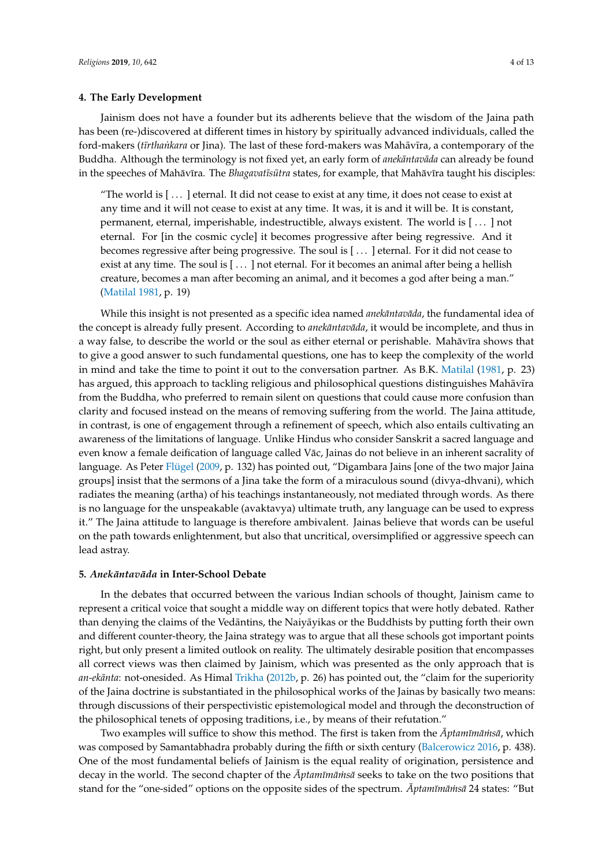# **4. The Early Development**

Jainism does not have a founder but its adherents believe that the wisdom of the Jaina path has been (re-)discovered at different times in history by spiritually advanced individuals, called the ford-makers (*tīrthankara* or Jina). The last of these ford-makers was Mahāvīra, a contemporary of the Buddha. Although the terminology is not fixed yet, an early form of *anekantavada* can already be found in the speeches of Mahāvīra. The *Bhagavatīsūtra* states, for example, that Mahāvīra taught his disciples:

"The world is [ . . . ] eternal. It did not cease to exist at any time, it does not cease to exist at any time and it will not cease to exist at any time. It was, it is and it will be. It is constant, permanent, eternal, imperishable, indestructible, always existent. The world is [ . . . ] not eternal. For [in the cosmic cycle] it becomes progressive after being regressive. And it becomes regressive after being progressive. The soul is [ . . . ] eternal. For it did not cease to exist at any time. The soul is [ . . . ] not eternal. For it becomes an animal after being a hellish creature, becomes a man after becoming an animal, and it becomes a god after being a man." [\(Matilal](#page-12-6) [1981,](#page-12-6) p. 19)

While this insight is not presented as a specific idea named *anekantavada*, the fundamental idea of the concept is already fully present. According to *anekantavada*, it would be incomplete, and thus in a way false, to describe the world or the soul as either eternal or perishable. Mahāvīra shows that to give a good answer to such fundamental questions, one has to keep the complexity of the world in mind and take the time to point it out to the conversation partner. As B.K. [Matilal](#page-12-6) [\(1981,](#page-12-6) p. 23) has argued, this approach to tackling religious and philosophical questions distinguishes Mahāvīra from the Buddha, who preferred to remain silent on questions that could cause more confusion than clarity and focused instead on the means of removing suffering from the world. The Jaina attitude, in contrast, is one of engagement through a refinement of speech, which also entails cultivating an awareness of the limitations of language. Unlike Hindus who consider Sanskrit a sacred language and even know a female deification of language called Vāc, Jainas do not believe in an inherent sacrality of language. As Peter [Flügel](#page-11-11) [\(2009,](#page-11-11) p. 132) has pointed out, "Digambara Jains [one of the two major Jaina groups] insist that the sermons of a Jina take the form of a miraculous sound (divya-dhvani), which radiates the meaning (artha) of his teachings instantaneously, not mediated through words. As there is no language for the unspeakable (avaktavya) ultimate truth, any language can be used to express it." The Jaina attitude to language is therefore ambivalent. Jainas believe that words can be useful on the path towards enlightenment, but also that uncritical, oversimplified or aggressive speech can lead astray.

# **5.** *Anekantav ¯ ada ¯* **in Inter-School Debate**

In the debates that occurred between the various Indian schools of thought, Jainism came to represent a critical voice that sought a middle way on different topics that were hotly debated. Rather than denying the claims of the Vedāntins, the Naiyāyikas or the Buddhists by putting forth their own and different counter-theory, the Jaina strategy was to argue that all these schools got important points right, but only present a limited outlook on reality. The ultimately desirable position that encompasses all correct views was then claimed by Jainism, which was presented as the only approach that is *an-ekānta*: not-onesided. As Himal [Trikha](#page-12-9) [\(2012b,](#page-12-9) p. 26) has pointed out, the "claim for the superiority of the Jaina doctrine is substantiated in the philosophical works of the Jainas by basically two means: through discussions of their perspectivistic epistemological model and through the deconstruction of the philosophical tenets of opposing traditions, i.e., by means of their refutation."

Two examples will suffice to show this method. The first is taken from the *Aptamīmāmsā*, which was composed by Samantabhadra probably during the fifth or sixth century [\(Balcerowicz](#page-11-12) [2016,](#page-11-12) p. 438). One of the most fundamental beliefs of Jainism is the equal reality of origination, persistence and decay in the world. The second chapter of the *Aptamīmāms* $\bar{a}$  seeks to take on the two positions that stand for the "one-sided" options on the opposite sides of the spectrum. *Aptamīmāmsā* 24 states: "But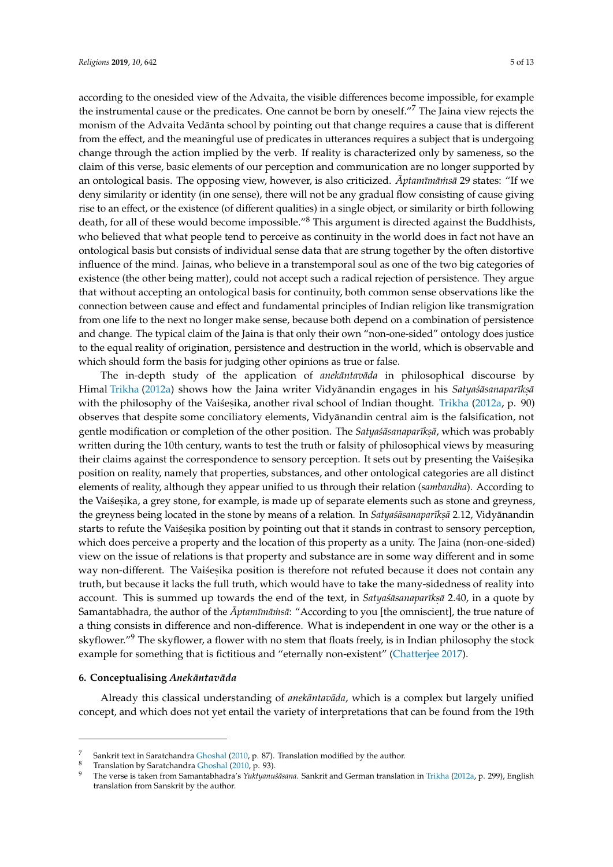according to the onesided view of the Advaita, the visible differences become impossible, for example the instrumental cause or the predicates. One cannot be born by oneself."<sup>7</sup> The Jaina view rejects the monism of the Advaita Vedānta school by pointing out that change requires a cause that is different from the effect, and the meaningful use of predicates in utterances requires a subject that is undergoing change through the action implied by the verb. If reality is characterized only by sameness, so the claim of this verse, basic elements of our perception and communication are no longer supported by an ontological basis. The opposing view, however, is also criticized. *Aptamīmāmsā* 29 states: "If we deny similarity or identity (in one sense), there will not be any gradual flow consisting of cause giving rise to an effect, or the existence (of different qualities) in a single object, or similarity or birth following death, for all of these would become impossible."<sup>8</sup> This argument is directed against the Buddhists, who believed that what people tend to perceive as continuity in the world does in fact not have an ontological basis but consists of individual sense data that are strung together by the often distortive influence of the mind. Jainas, who believe in a transtemporal soul as one of the two big categories of existence (the other being matter), could not accept such a radical rejection of persistence. They argue that without accepting an ontological basis for continuity, both common sense observations like the connection between cause and effect and fundamental principles of Indian religion like transmigration from one life to the next no longer make sense, because both depend on a combination of persistence and change. The typical claim of the Jaina is that only their own "non-one-sided" ontology does justice to the equal reality of origination, persistence and destruction in the world, which is observable and which should form the basis for judging other opinions as true or false.

The in-depth study of the application of *anekāntavāda* in philosophical discourse by Himal [Trikha](#page-12-10) [\(2012a\)](#page-12-10) shows how the Jaina writer Vidyānandin engages in his *Satyaśāsanaparīkṣā* with the philosophy of the Vaiśesika, another rival school of Indian thought. [Trikha](#page-12-10) [\(2012a,](#page-12-10) p. 90) observes that despite some conciliatory elements, Vidyanandin central aim is the falsification, not ¯ gentle modification or completion of the other position. The *Satyaśāsanaparīkṣā*, which was probably written during the 10th century, wants to test the truth or falsity of philosophical views by measuring their claims against the correspondence to sensory perception. It sets out by presenting the Vaiśesika position on reality, namely that properties, substances, and other ontological categories are all distinct elements of reality, although they appear unified to us through their relation (*sambandha*). According to the Vaiśesika, a grey stone, for example, is made up of separate elements such as stone and greyness, the greyness being located in the stone by means of a relation. In *Satyaśāsanaparīkṣā* 2.12, Vidyānandin starts to refute the Vaiśesika position by pointing out that it stands in contrast to sensory perception, which does perceive a property and the location of this property as a unity. The Jaina (non-one-sided) view on the issue of relations is that property and substance are in some way different and in some way non-different. The Vaiśesika position is therefore not refuted because it does not contain any truth, but because it lacks the full truth, which would have to take the many-sidedness of reality into account. This is summed up towards the end of the text, in *Satyaśāsanaparīkṣā* 2.40, in a quote by Samantabhadra, the author of the *Āptamīmāmsā*: "According to you [the omniscient], the true nature of a thing consists in difference and non-difference. What is independent in one way or the other is a skyflower."<sup>9</sup> The skyflower, a flower with no stem that floats freely, is in Indian philosophy the stock example for something that is fictitious and "eternally non-existent" [\(Chatterjee](#page-11-13) [2017\)](#page-11-13).

#### **6. Conceptualising** *Anekāntavāda*

Already this classical understanding of *anekāntavāda*, which is a complex but largely unified concept, and which does not yet entail the variety of interpretations that can be found from the 19th

Sankrit text in Saratchandra [Ghoshal](#page-11-14) [\(2010,](#page-11-14) p. 87). Translation modified by the author.

Translation by Saratchandra [Ghoshal](#page-11-14) [\(2010,](#page-11-14) p. 93).

The verse is taken from Samantabhadra's *Yuktyanuśāsana*. Sankrit and German translation in [Trikha](#page-12-10) [\(2012a,](#page-12-10) p. 299), English translation from Sanskrit by the author.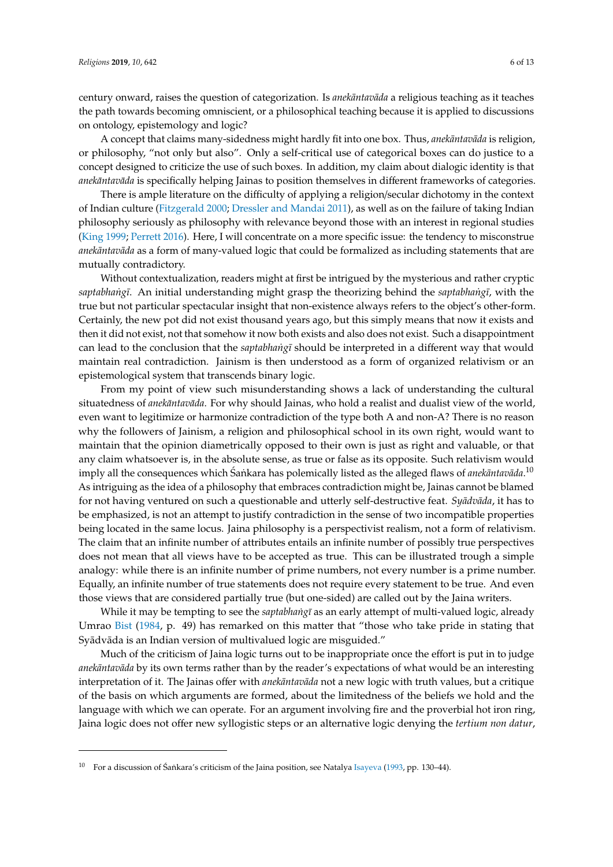century onward, raises the question of categorization. Is *anekantavada* a religious teaching as it teaches the path towards becoming omniscient, or a philosophical teaching because it is applied to discussions on ontology, epistemology and logic?

A concept that claims many-sidedness might hardly fit into one box. Thus, *anekāntavāda* is religion, or philosophy, "not only but also". Only a self-critical use of categorical boxes can do justice to a concept designed to criticize the use of such boxes. In addition, my claim about dialogic identity is that *anekāntavāda* is specifically helping Jainas to position themselves in different frameworks of categories.

There is ample literature on the difficulty of applying a religion/secular dichotomy in the context of Indian culture [\(Fitzgerald](#page-11-15) [2000;](#page-11-15) [Dressler and Mandai](#page-11-16) [2011\)](#page-11-16), as well as on the failure of taking Indian philosophy seriously as philosophy with relevance beyond those with an interest in regional studies [\(King](#page-12-11) [1999;](#page-12-11) [Perrett](#page-12-12) [2016\)](#page-12-12). Here, I will concentrate on a more specific issue: the tendency to misconstrue *anekāntavāda* as a form of many-valued logic that could be formalized as including statements that are mutually contradictory.

Without contextualization, readers might at first be intrigued by the mysterious and rather cryptic *saptabhang˙ ¯ı*. An initial understanding might grasp the theorizing behind the *saptabhang˙ ¯ı*, with the true but not particular spectacular insight that non-existence always refers to the object's other-form. Certainly, the new pot did not exist thousand years ago, but this simply means that now it exists and then it did not exist, not that somehow it now both exists and also does not exist. Such a disappointment can lead to the conclusion that the *saptabhang*<sup> $\bar{r}$ </sup> should be interpreted in a different way that would maintain real contradiction. Jainism is then understood as a form of organized relativism or an epistemological system that transcends binary logic.

From my point of view such misunderstanding shows a lack of understanding the cultural situatedness of *anekāntavāda*. For why should Jainas, who hold a realist and dualist view of the world, even want to legitimize or harmonize contradiction of the type both A and non-A? There is no reason why the followers of Jainism, a religion and philosophical school in its own right, would want to maintain that the opinion diametrically opposed to their own is just as right and valuable, or that any claim whatsoever is, in the absolute sense, as true or false as its opposite. Such relativism would imply all the consequences which Śaṅkara has polemically listed as the alleged flaws of *anekāntavāda*.<sup>10</sup> As intriguing as the idea of a philosophy that embraces contradiction might be, Jainas cannot be blamed for not having ventured on such a questionable and utterly self-destructive feat. *Syadvada*, it has to be emphasized, is not an attempt to justify contradiction in the sense of two incompatible properties being located in the same locus. Jaina philosophy is a perspectivist realism, not a form of relativism. The claim that an infinite number of attributes entails an infinite number of possibly true perspectives does not mean that all views have to be accepted as true. This can be illustrated trough a simple analogy: while there is an infinite number of prime numbers, not every number is a prime number. Equally, an infinite number of true statements does not require every statement to be true. And even those views that are considered partially true (but one-sided) are called out by the Jaina writers.

While it may be tempting to see the *saptabhang*ī as an early attempt of multi-valued logic, already Umrao [Bist](#page-11-17) [\(1984,](#page-11-17) p. 49) has remarked on this matter that "those who take pride in stating that Syādvāda is an Indian version of multivalued logic are misguided."

Much of the criticism of Jaina logic turns out to be inappropriate once the effort is put in to judge *anekāntavāda* by its own terms rather than by the reader's expectations of what would be an interesting interpretation of it. The Jainas offer with *anekāntavāda* not a new logic with truth values, but a critique of the basis on which arguments are formed, about the limitedness of the beliefs we hold and the language with which we can operate. For an argument involving fire and the proverbial hot iron ring, Jaina logic does not offer new syllogistic steps or an alternative logic denying the *tertium non datur*,

 $10$  For a discussion of Śaṅkara's criticism of the Jaina position, see Natalya [Isayeva](#page-11-18) [\(1993,](#page-11-18) pp. 130–44).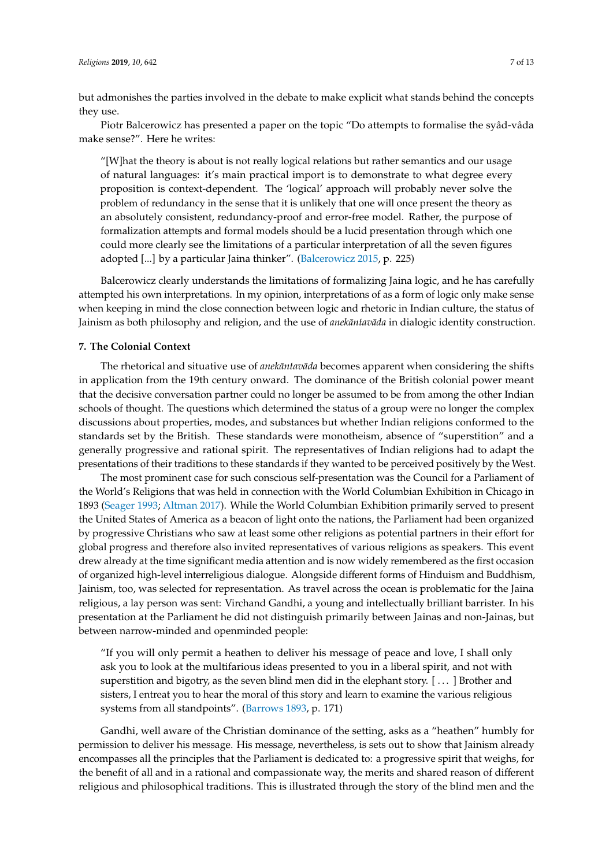but admonishes the parties involved in the debate to make explicit what stands behind the concepts they use.

Piotr Balcerowicz has presented a paper on the topic "Do attempts to formalise the syâd-vâda make sense?". Here he writes:

"[W]hat the theory is about is not really logical relations but rather semantics and our usage of natural languages: it's main practical import is to demonstrate to what degree every proposition is context-dependent. The 'logical' approach will probably never solve the problem of redundancy in the sense that it is unlikely that one will once present the theory as an absolutely consistent, redundancy-proof and error-free model. Rather, the purpose of formalization attempts and formal models should be a lucid presentation through which one could more clearly see the limitations of a particular interpretation of all the seven figures adopted [...] by a particular Jaina thinker". [\(Balcerowicz](#page-11-19) [2015,](#page-11-19) p. 225)

Balcerowicz clearly understands the limitations of formalizing Jaina logic, and he has carefully attempted his own interpretations. In my opinion, interpretations of as a form of logic only make sense when keeping in mind the close connection between logic and rhetoric in Indian culture, the status of Jainism as both philosophy and religion, and the use of *anekantavada* in dialogic identity construction.

# **7. The Colonial Context**

The rhetorical and situative use of *anekāntavāda* becomes apparent when considering the shifts in application from the 19th century onward. The dominance of the British colonial power meant that the decisive conversation partner could no longer be assumed to be from among the other Indian schools of thought. The questions which determined the status of a group were no longer the complex discussions about properties, modes, and substances but whether Indian religions conformed to the standards set by the British. These standards were monotheism, absence of "superstition" and a generally progressive and rational spirit. The representatives of Indian religions had to adapt the presentations of their traditions to these standards if they wanted to be perceived positively by the West.

The most prominent case for such conscious self-presentation was the Council for a Parliament of the World's Religions that was held in connection with the World Columbian Exhibition in Chicago in 1893 [\(Seager](#page-12-13) [1993;](#page-12-13) [Altman](#page-11-20) [2017\)](#page-11-20). While the World Columbian Exhibition primarily served to present the United States of America as a beacon of light onto the nations, the Parliament had been organized by progressive Christians who saw at least some other religions as potential partners in their effort for global progress and therefore also invited representatives of various religions as speakers. This event drew already at the time significant media attention and is now widely remembered as the first occasion of organized high-level interreligious dialogue. Alongside different forms of Hinduism and Buddhism, Jainism, too, was selected for representation. As travel across the ocean is problematic for the Jaina religious, a lay person was sent: Virchand Gandhi, a young and intellectually brilliant barrister. In his presentation at the Parliament he did not distinguish primarily between Jainas and non-Jainas, but between narrow-minded and openminded people:

"If you will only permit a heathen to deliver his message of peace and love, I shall only ask you to look at the multifarious ideas presented to you in a liberal spirit, and not with superstition and bigotry, as the seven blind men did in the elephant story. [ . . . ] Brother and sisters, I entreat you to hear the moral of this story and learn to examine the various religious systems from all standpoints". [\(Barrows](#page-11-21) [1893,](#page-11-21) p. 171)

Gandhi, well aware of the Christian dominance of the setting, asks as a "heathen" humbly for permission to deliver his message. His message, nevertheless, is sets out to show that Jainism already encompasses all the principles that the Parliament is dedicated to: a progressive spirit that weighs, for the benefit of all and in a rational and compassionate way, the merits and shared reason of different religious and philosophical traditions. This is illustrated through the story of the blind men and the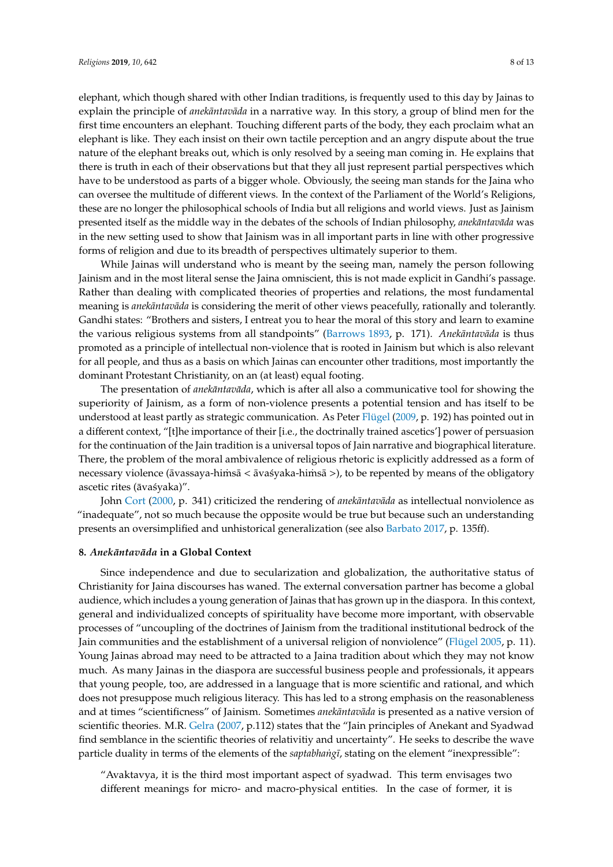elephant, which though shared with other Indian traditions, is frequently used to this day by Jainas to explain the principle of *anekantavada* in a narrative way. In this story, a group of blind men for the first time encounters an elephant. Touching different parts of the body, they each proclaim what an elephant is like. They each insist on their own tactile perception and an angry dispute about the true nature of the elephant breaks out, which is only resolved by a seeing man coming in. He explains that there is truth in each of their observations but that they all just represent partial perspectives which have to be understood as parts of a bigger whole. Obviously, the seeing man stands for the Jaina who can oversee the multitude of different views. In the context of the Parliament of the World's Religions, these are no longer the philosophical schools of India but all religions and world views. Just as Jainism presented itself as the middle way in the debates of the schools of Indian philosophy, *anekantavada* was in the new setting used to show that Jainism was in all important parts in line with other progressive forms of religion and due to its breadth of perspectives ultimately superior to them.

While Jainas will understand who is meant by the seeing man, namely the person following Jainism and in the most literal sense the Jaina omniscient, this is not made explicit in Gandhi's passage. Rather than dealing with complicated theories of properties and relations, the most fundamental meaning is *anekāntavāda* is considering the merit of other views peacefully, rationally and tolerantly. Gandhi states: "Brothers and sisters, I entreat you to hear the moral of this story and learn to examine the various religious systems from all standpoints" [\(Barrows](#page-11-21) [1893,](#page-11-21) p. 171). *Anekāntavāda* is thus promoted as a principle of intellectual non-violence that is rooted in Jainism but which is also relevant for all people, and thus as a basis on which Jainas can encounter other traditions, most importantly the dominant Protestant Christianity, on an (at least) equal footing.

The presentation of *anekāntavāda*, which is after all also a communicative tool for showing the superiority of Jainism, as a form of non-violence presents a potential tension and has itself to be understood at least partly as strategic communication. As Peter [Flügel](#page-11-11) [\(2009,](#page-11-11) p. 192) has pointed out in a different context, "[t]he importance of their [i.e., the doctrinally trained ascetics'] power of persuasion for the continuation of the Jain tradition is a universal topos of Jain narrative and biographical literature. There, the problem of the moral ambivalence of religious rhetoric is explicitly addressed as a form of necessary violence (āvassaya-himsā < āvasyaka-himsā >), to be repented by means of the obligatory ascetic rites (āvasyaka)".

John [Cort](#page-11-22) [\(2000,](#page-11-22) p. 341) criticized the rendering of *anekantavada* as intellectual nonviolence as "inadequate", not so much because the opposite would be true but because such an understanding presents an oversimplified and unhistorical generalization (see also [Barbato](#page-11-10) [2017,](#page-11-10) p. 135ff).

## **8.** *Anekantav ¯ ada ¯* **in a Global Context**

Since independence and due to secularization and globalization, the authoritative status of Christianity for Jaina discourses has waned. The external conversation partner has become a global audience, which includes a young generation of Jainas that has grown up in the diaspora. In this context, general and individualized concepts of spirituality have become more important, with observable processes of "uncoupling of the doctrines of Jainism from the traditional institutional bedrock of the Jain communities and the establishment of a universal religion of nonviolence" [\(Flügel](#page-11-23) [2005,](#page-11-23) p. 11). Young Jainas abroad may need to be attracted to a Jaina tradition about which they may not know much. As many Jainas in the diaspora are successful business people and professionals, it appears that young people, too, are addressed in a language that is more scientific and rational, and which does not presuppose much religious literacy. This has led to a strong emphasis on the reasonableness and at times "scientificness" of Jainism. Sometimes *anekantavada* is presented as a native version of scientific theories. M.R. [Gelra](#page-11-24) [\(2007,](#page-11-24) p.112) states that the "Jain principles of Anekant and Syadwad find semblance in the scientific theories of relativitiy and uncertainty". He seeks to describe the wave particle duality in terms of the elements of the *saptabhangī*, stating on the element "inexpressible":

"Avaktavya, it is the third most important aspect of syadwad. This term envisages two different meanings for micro- and macro-physical entities. In the case of former, it is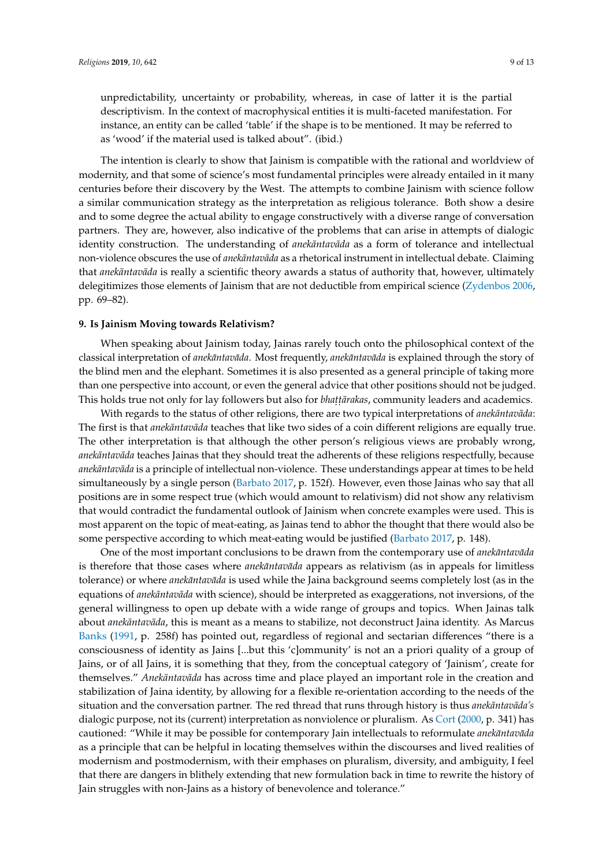unpredictability, uncertainty or probability, whereas, in case of latter it is the partial descriptivism. In the context of macrophysical entities it is multi-faceted manifestation. For instance, an entity can be called 'table' if the shape is to be mentioned. It may be referred to

as 'wood' if the material used is talked about". (ibid.)

The intention is clearly to show that Jainism is compatible with the rational and worldview of modernity, and that some of science's most fundamental principles were already entailed in it many centuries before their discovery by the West. The attempts to combine Jainism with science follow a similar communication strategy as the interpretation as religious tolerance. Both show a desire and to some degree the actual ability to engage constructively with a diverse range of conversation partners. They are, however, also indicative of the problems that can arise in attempts of dialogic identity construction. The understanding of *anekantavada* as a form of tolerance and intellectual non-violence obscures the use of *anekāntavāda* as a rhetorical instrument in intellectual debate. Claiming that *anekāntavāda* is really a scientific theory awards a status of authority that, however, ultimately delegitimizes those elements of Jainism that are not deductible from empirical science [\(Zydenbos](#page-12-14) [2006,](#page-12-14) pp. 69–82).

# **9. Is Jainism Moving towards Relativism?**

When speaking about Jainism today, Jainas rarely touch onto the philosophical context of the classical interpretation of *anekantavada*. Most frequently, *anekantavada* is explained through the story of the blind men and the elephant. Sometimes it is also presented as a general principle of taking more than one perspective into account, or even the general advice that other positions should not be judged. This holds true not only for lay followers but also for *bhaṭṭārakas,* community leaders and academics.

With regards to the status of other religions, there are two typical interpretations of *anekāntavāda*: The first is that *anekantavada* teaches that like two sides of a coin different religions are equally true. The other interpretation is that although the other person's religious views are probably wrong, *anekāntavāda* teaches Jainas that they should treat the adherents of these religions respectfully, because *anekāntavāda* is a principle of intellectual non-violence. These understandings appear at times to be held simultaneously by a single person [\(Barbato](#page-11-10) [2017,](#page-11-10) p. 152f). However, even those Jainas who say that all positions are in some respect true (which would amount to relativism) did not show any relativism that would contradict the fundamental outlook of Jainism when concrete examples were used. This is most apparent on the topic of meat-eating, as Jainas tend to abhor the thought that there would also be some perspective according to which meat-eating would be justified [\(Barbato](#page-11-10) [2017,](#page-11-10) p. 148).

One of the most important conclusions to be drawn from the contemporary use of *anekantavada* is therefore that those cases where *anekantavada* appears as relativism (as in appeals for limitless tolerance) or where *anekāntavāda* is used while the Jaina background seems completely lost (as in the equations of *anekāntavāda* with science), should be interpreted as exaggerations, not inversions, of the general willingness to open up debate with a wide range of groups and topics. When Jainas talk about *anekāntavāda*, this is meant as a means to stabilize, not deconstruct Jaina identity. As Marcus [Banks](#page-11-25) [\(1991,](#page-11-25) p. 258f) has pointed out, regardless of regional and sectarian differences "there is a consciousness of identity as Jains [...but this 'c]ommunity' is not an a priori quality of a group of Jains, or of all Jains, it is something that they, from the conceptual category of 'Jainism', create for themselves." *Anekāntavāda* has across time and place played an important role in the creation and stabilization of Jaina identity, by allowing for a flexible re-orientation according to the needs of the situation and the conversation partner. The red thread that runs through history is thus *anekantavada's* dialogic purpose, not its (current) interpretation as nonviolence or pluralism. As [Cort](#page-11-22) [\(2000,](#page-11-22) p. 341) has cautioned: "While it may be possible for contemporary Jain intellectuals to reformulate *anekāntavāda* as a principle that can be helpful in locating themselves within the discourses and lived realities of modernism and postmodernism, with their emphases on pluralism, diversity, and ambiguity, I feel that there are dangers in blithely extending that new formulation back in time to rewrite the history of Jain struggles with non-Jains as a history of benevolence and tolerance."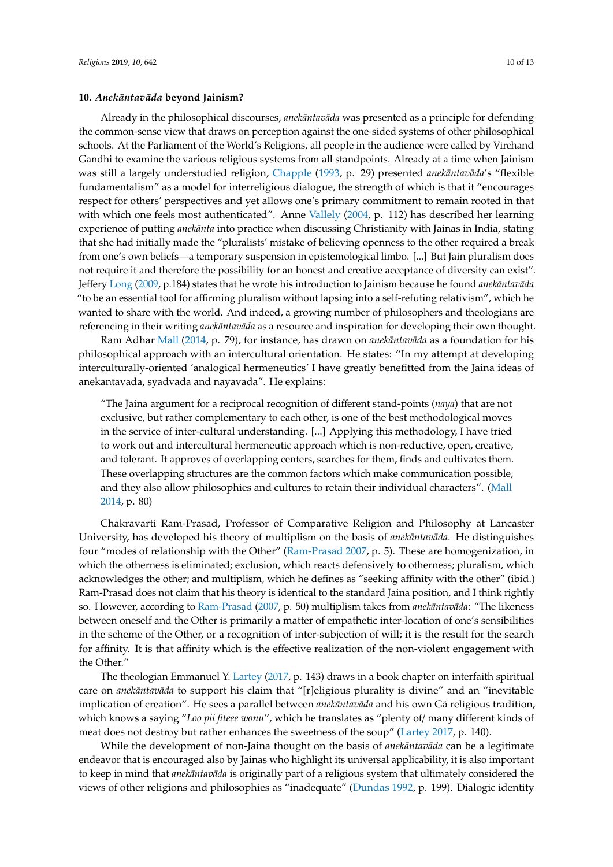# **10.** *Anekantav ¯ ada ¯* **beyond Jainism?**

Already in the philosophical discourses, *anekāntavāda* was presented as a principle for defending the common-sense view that draws on perception against the one-sided systems of other philosophical schools. At the Parliament of the World's Religions, all people in the audience were called by Virchand Gandhi to examine the various religious systems from all standpoints. Already at a time when Jainism was still a largely understudied religion, [Chapple](#page-11-2) [\(1993,](#page-11-2) p. 29) presented *anekantavada's* "flexible fundamentalism" as a model for interreligious dialogue, the strength of which is that it "encourages respect for others' perspectives and yet allows one's primary commitment to remain rooted in that with which one feels most authenticated". Anne [Vallely](#page-12-15) [\(2004,](#page-12-15) p. 112) has described her learning experience of putting *anekānta* into practice when discussing Christianity with Jainas in India, stating that she had initially made the "pluralists' mistake of believing openness to the other required a break from one's own beliefs—a temporary suspension in epistemological limbo. [...] But Jain pluralism does not require it and therefore the possibility for an honest and creative acceptance of diversity can exist". Jeffery [Long](#page-12-5) [\(2009,](#page-12-5) p.184) states that he wrote his introduction to Jainism because he found *anekantavada* "to be an essential tool for affirming pluralism without lapsing into a self-refuting relativism", which he wanted to share with the world. And indeed, a growing number of philosophers and theologians are referencing in their writing *anekantavada* as a resource and inspiration for developing their own thought.

Ram Adhar [Mall](#page-12-16) [\(2014,](#page-12-16) p. 79), for instance, has drawn on *anekantavada* as a foundation for his philosophical approach with an intercultural orientation. He states: "In my attempt at developing interculturally-oriented 'analogical hermeneutics' I have greatly benefitted from the Jaina ideas of anekantavada, syadvada and nayavada". He explains:

"The Jaina argument for a reciprocal recognition of different stand-points (*naya*) that are not exclusive, but rather complementary to each other, is one of the best methodological moves in the service of inter-cultural understanding. [...] Applying this methodology, I have tried to work out and intercultural hermeneutic approach which is non-reductive, open, creative, and tolerant. It approves of overlapping centers, searches for them, finds and cultivates them. These overlapping structures are the common factors which make communication possible, and they also allow philosophies and cultures to retain their individual characters". [\(Mall](#page-12-16) [2014,](#page-12-16) p. 80)

Chakravarti Ram-Prasad, Professor of Comparative Religion and Philosophy at Lancaster University, has developed his theory of multiplism on the basis of *anekantavada*. He distinguishes four "modes of relationship with the Other" [\(Ram-Prasad](#page-12-17) [2007,](#page-12-17) p. 5). These are homogenization, in which the otherness is eliminated; exclusion, which reacts defensively to otherness; pluralism, which acknowledges the other; and multiplism, which he defines as "seeking affinity with the other" (ibid.) Ram-Prasad does not claim that his theory is identical to the standard Jaina position, and I think rightly so. However, according to [Ram-Prasad](#page-12-17) [\(2007,](#page-12-17) p. 50) multiplism takes from *anekantavada*: "The likeness between oneself and the Other is primarily a matter of empathetic inter-location of one's sensibilities in the scheme of the Other, or a recognition of inter-subjection of will; it is the result for the search for affinity. It is that affinity which is the effective realization of the non-violent engagement with the Other."

The theologian Emmanuel Y. [Lartey](#page-12-18) [\(2017,](#page-12-18) p. 143) draws in a book chapter on interfaith spiritual care on *anekāntavāda* to support his claim that "[r]eligious plurality is divine" and an "inevitable implication of creation". He sees a parallel between *anekantavada* and his own Gã religious tradition, which knows a saying "*Loo pii fiteee wonu*", which he translates as "plenty of/ many different kinds of meat does not destroy but rather enhances the sweetness of the soup" [\(Lartey](#page-12-18) [2017,](#page-12-18) p. 140).

While the development of non-Jaina thought on the basis of *anekantavada* can be a legitimate endeavor that is encouraged also by Jainas who highlight its universal applicability, it is also important to keep in mind that *anekantavada* is originally part of a religious system that ultimately considered the views of other religions and philosophies as "inadequate" [\(Dundas](#page-11-8) [1992,](#page-11-8) p. 199). Dialogic identity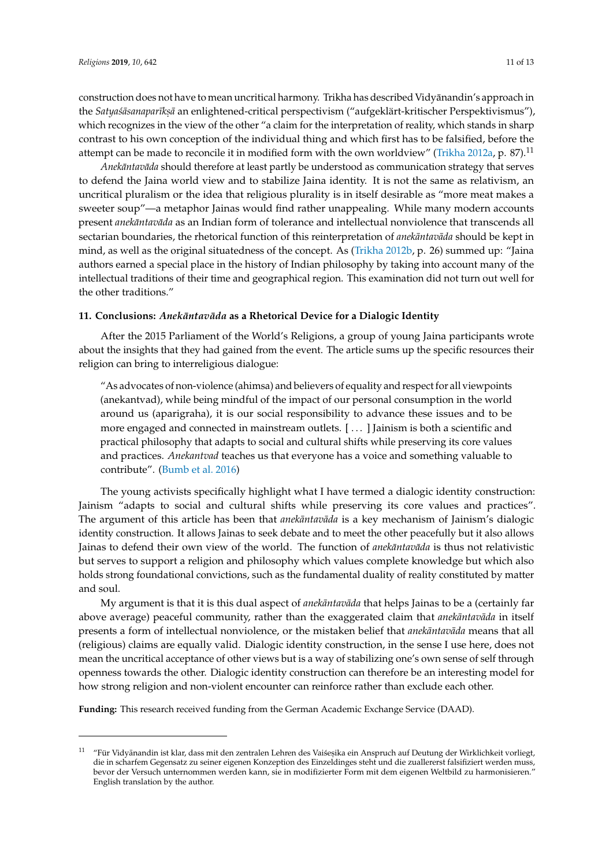construction does not have to mean uncritical harmony. Trikha has described Vidyanandin's approach in ¯ the *Satyaśāsanaparīkṣā* an enlightened-critical perspectivism ("aufgeklärt-kritischer Perspektivismus"), which recognizes in the view of the other "a claim for the interpretation of reality, which stands in sharp contrast to his own conception of the individual thing and which first has to be falsified, before the attempt can be made to reconcile it in modified form with the own worldview" [\(Trikha](#page-12-10) [2012a,](#page-12-10) p. 87).<sup>11</sup>

*Anekāntavāda* should therefore at least partly be understood as communication strategy that serves to defend the Jaina world view and to stabilize Jaina identity. It is not the same as relativism, an uncritical pluralism or the idea that religious plurality is in itself desirable as "more meat makes a sweeter soup"—a metaphor Jainas would find rather unappealing. While many modern accounts present *anekāntavāda* as an Indian form of tolerance and intellectual nonviolence that transcends all sectarian boundaries, the rhetorical function of this reinterpretation of *anekāntavāda* should be kept in mind, as well as the original situatedness of the concept. As [\(Trikha](#page-12-9) [2012b,](#page-12-9) p. 26) summed up: "Jaina authors earned a special place in the history of Indian philosophy by taking into account many of the intellectual traditions of their time and geographical region. This examination did not turn out well for the other traditions."

# 11. Conclusions: Anekāntavāda as a Rhetorical Device for a Dialogic Identity

After the 2015 Parliament of the World's Religions, a group of young Jaina participants wrote about the insights that they had gained from the event. The article sums up the specific resources their religion can bring to interreligious dialogue:

"As advocates of non-violence (ahimsa) and believers of equality and respect for all viewpoints (anekantvad), while being mindful of the impact of our personal consumption in the world around us (aparigraha), it is our social responsibility to advance these issues and to be more engaged and connected in mainstream outlets. [ . . . ] Jainism is both a scientific and practical philosophy that adapts to social and cultural shifts while preserving its core values and practices. *Anekantvad* teaches us that everyone has a voice and something valuable to contribute". [\(Bumb et al.](#page-11-26) [2016\)](#page-11-26)

The young activists specifically highlight what I have termed a dialogic identity construction: Jainism "adapts to social and cultural shifts while preserving its core values and practices". The argument of this article has been that *anekantavada* is a key mechanism of Jainism's dialogic identity construction. It allows Jainas to seek debate and to meet the other peacefully but it also allows Jainas to defend their own view of the world. The function of *anekantavada* is thus not relativistic but serves to support a religion and philosophy which values complete knowledge but which also holds strong foundational convictions, such as the fundamental duality of reality constituted by matter and soul.

My argument is that it is this dual aspect of *anekantavada* that helps Jainas to be a (certainly far above average) peaceful community, rather than the exaggerated claim that *anekantavada* in itself presents a form of intellectual nonviolence, or the mistaken belief that *anekantavada* means that all (religious) claims are equally valid. Dialogic identity construction, in the sense I use here, does not mean the uncritical acceptance of other views but is a way of stabilizing one's own sense of self through openness towards the other. Dialogic identity construction can therefore be an interesting model for how strong religion and non-violent encounter can reinforce rather than exclude each other.

**Funding:** This research received funding from the German Academic Exchange Service (DAAD).

<sup>&</sup>lt;sup>11</sup> "Für Vidyānandin ist klar, dass mit den zentralen Lehren des Vaisesika ein Anspruch auf Deutung der Wirklichkeit vorliegt, die in scharfem Gegensatz zu seiner eigenen Konzeption des Einzeldinges steht und die zuallererst falsifiziert werden muss, bevor der Versuch unternommen werden kann, sie in modifizierter Form mit dem eigenen Weltbild zu harmonisieren." English translation by the author.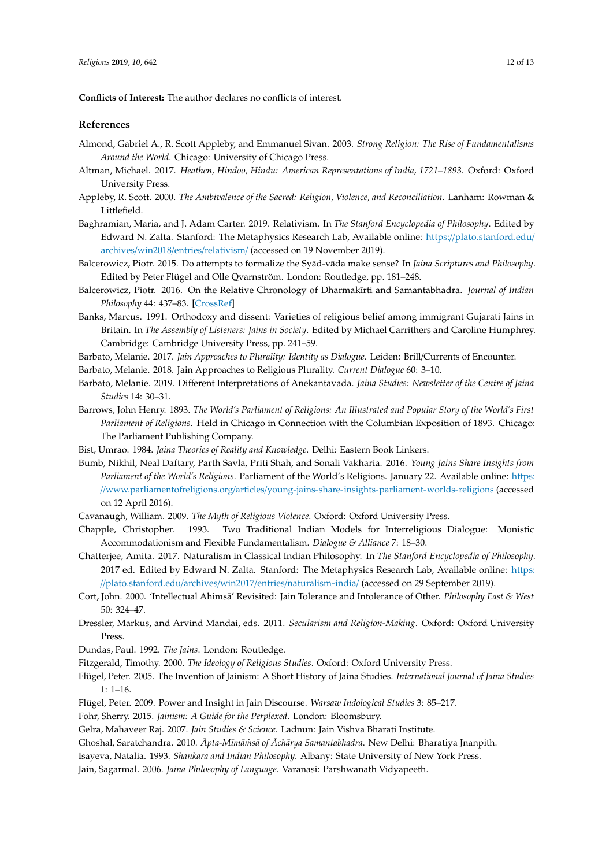**Conflicts of Interest:** The author declares no conflicts of interest.

## **References**

- <span id="page-11-0"></span>Almond, Gabriel A., R. Scott Appleby, and Emmanuel Sivan. 2003. *Strong Religion: The Rise of Fundamentalisms Around the World*. Chicago: University of Chicago Press.
- <span id="page-11-20"></span>Altman, Michael. 2017. *Heathen, Hindoo, Hindu: American Representations of India, 1721–1893*. Oxford: Oxford University Press.
- <span id="page-11-3"></span>Appleby, R. Scott. 2000. *The Ambivalence of the Sacred: Religion, Violence, and Reconciliation*. Lanham: Rowman & Littlefield.
- <span id="page-11-7"></span>Baghramian, Maria, and J. Adam Carter. 2019. Relativism. In *The Stanford Encyclopedia of Philosophy*. Edited by Edward N. Zalta. Stanford: The Metaphysics Research Lab, Available online: https://[plato.stanford.edu](https://plato.stanford.edu/archives/win2018/entries/relativism/)/ archives/win2018/entries/[relativism](https://plato.stanford.edu/archives/win2018/entries/relativism/)/ (accessed on 19 November 2019).
- <span id="page-11-19"></span>Balcerowicz, Piotr. 2015. Do attempts to formalize the Syad-vada make sense? In *Jaina Scriptures and Philosophy*. Edited by Peter Flügel and Olle Qvarnström. London: Routledge, pp. 181–248.
- <span id="page-11-12"></span>Balcerowicz, Piotr. 2016. On the Relative Chronology of Dharmakīrti and Samantabhadra. *Journal of Indian Philosophy* 44: 437–83. [\[CrossRef\]](http://dx.doi.org/10.1007/s10781-014-9270-3)
- <span id="page-11-25"></span>Banks, Marcus. 1991. Orthodoxy and dissent: Varieties of religious belief among immigrant Gujarati Jains in Britain. In *The Assembly of Listeners: Jains in Society*. Edited by Michael Carrithers and Caroline Humphrey. Cambridge: Cambridge University Press, pp. 241–59.
- <span id="page-11-10"></span>Barbato, Melanie. 2017. *Jain Approaches to Plurality: Identity as Dialogue*. Leiden: Brill/Currents of Encounter.
- <span id="page-11-5"></span>Barbato, Melanie. 2018. Jain Approaches to Religious Plurality. *Current Dialogue* 60: 3–10.
- <span id="page-11-6"></span>Barbato, Melanie. 2019. Different Interpretations of Anekantavada. *Jaina Studies: Newsletter of the Centre of Jaina Studies* 14: 30–31.
- <span id="page-11-21"></span>Barrows, John Henry. 1893. *The World's Parliament of Religions: An Illustrated and Popular Story of the World's First Parliament of Religions*. Held in Chicago in Connection with the Columbian Exposition of 1893. Chicago: The Parliament Publishing Company.
- <span id="page-11-17"></span>Bist, Umrao. 1984. *Jaina Theories of Reality and Knowledge*. Delhi: Eastern Book Linkers.
- <span id="page-11-26"></span>Bumb, Nikhil, Neal Daftary, Parth Savla, Priti Shah, and Sonali Vakharia. 2016. *Young Jains Share Insights from Parliament of the World's Religions*. Parliament of the World's Religions. January 22. Available online: [https:](https://www.parliamentofreligions.org/articles/young-jains-share-insights-parliament-worlds-religions) //www.parliamentofreligions.org/articles/[young-jains-share-insights-parliament-worlds-religions](https://www.parliamentofreligions.org/articles/young-jains-share-insights-parliament-worlds-religions) (accessed on 12 April 2016).
- <span id="page-11-4"></span>Cavanaugh, William. 2009. *The Myth of Religious Violence*. Oxford: Oxford University Press.
- <span id="page-11-2"></span>Chapple, Christopher. 1993. Two Traditional Indian Models for Interreligious Dialogue: Monistic Accommodationism and Flexible Fundamentalism. *Dialogue & Alliance* 7: 18–30.
- <span id="page-11-13"></span>Chatterjee, Amita. 2017. Naturalism in Classical Indian Philosophy. In *The Stanford Encyclopedia of Philosophy*. 2017 ed. Edited by Edward N. Zalta. Stanford: The Metaphysics Research Lab, Available online: [https:](https://plato.stanford.edu/archives/win2017/entries/naturalism-india/) //[plato.stanford.edu](https://plato.stanford.edu/archives/win2017/entries/naturalism-india/)/archives/win2017/entries/naturalism-india/ (accessed on 29 September 2019).
- <span id="page-11-22"></span>Cort, John. 2000. 'Intellectual Ahimsa' Revisited: Jain Tolerance and Intolerance of Other. *Philosophy East & West* 50: 324–47.
- <span id="page-11-16"></span>Dressler, Markus, and Arvind Mandai, eds. 2011. *Secularism and Religion-Making*. Oxford: Oxford University Press.
- <span id="page-11-8"></span>Dundas, Paul. 1992. *The Jains*. London: Routledge.
- <span id="page-11-15"></span>Fitzgerald, Timothy. 2000. *The Ideology of Religious Studies*. Oxford: Oxford University Press.
- <span id="page-11-23"></span>Flügel, Peter. 2005. The Invention of Jainism: A Short History of Jaina Studies. *International Journal of Jaina Studies* 1: 1–16.
- <span id="page-11-11"></span>Flügel, Peter. 2009. Power and Insight in Jain Discourse. *Warsaw Indological Studies* 3: 85–217.
- <span id="page-11-1"></span>Fohr, Sherry. 2015. *Jainism: A Guide for the Perplexed*. London: Bloomsbury.
- <span id="page-11-24"></span>Gelra, Mahaveer Raj. 2007. *Jain Studies & Science*. Ladnun: Jain Vishva Bharati Institute.

<span id="page-11-18"></span><span id="page-11-14"></span>Ghoshal, Saratchandra. 2010. *Āpta-Mīmāmsā of Āchārya Samantabhadra*. New Delhi: Bharatiya Jnanpith.

- Isayeva, Natalia. 1993. *Shankara and Indian Philosophy*. Albany: State University of New York Press.
- <span id="page-11-9"></span>Jain, Sagarmal. 2006. *Jaina Philosophy of Language*. Varanasi: Parshwanath Vidyapeeth.